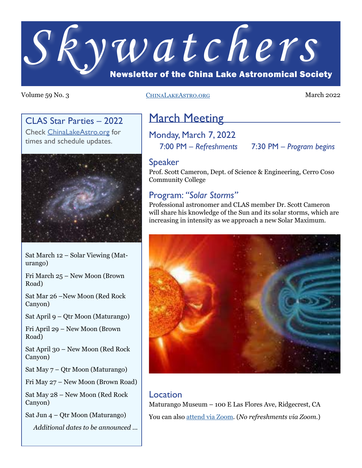

#### Volume 59 No. 3 CHINALAKEASTRO.ORG March 2022

### CLAS Star Parties – 2022

Check [ChinaLakeAstro.org](https://www.chinalakeastro.org/) for times and schedule updates.



Sat March 12 – Solar Viewing (Maturango)

Fri March 25 – New Moon (Brown Road)

Sat Mar 26 –New Moon (Red Rock Canyon)

Sat April 9 – Qtr Moon (Maturango)

Fri April 29 – New Moon (Brown Road)

Sat April 30 – New Moon (Red Rock Canyon)

Sat May 7 – Qtr Moon (Maturango)

Fri May 27 – New Moon (Brown Road)

Sat May 28 – New Moon (Red Rock Canyon)

Sat Jun 4 – Qtr Moon (Maturango)

*Additional dates to be announced ...*

## **March Meeting**

Monday, March 7, 2022

7:00 PM – *Refreshments* 7:30 PM – *Program begins*

#### Speaker

Prof. Scott Cameron, Dept. of Science & Engineering, Cerro Coso Community College

#### Program: *"Solar Storms"*

Professional astronomer and CLAS member Dr. Scott Cameron will share his knowledge of the Sun and its solar storms, which are increasing in intensity as we approach a new Solar Maximum.



#### Location

Maturango Museum – 100 E Las Flores Ave, Ridgecrest, CA You can also [attend via Zoom](https://www.chinalakeastro.org/zoom/). (*No refreshments via Zoom.*)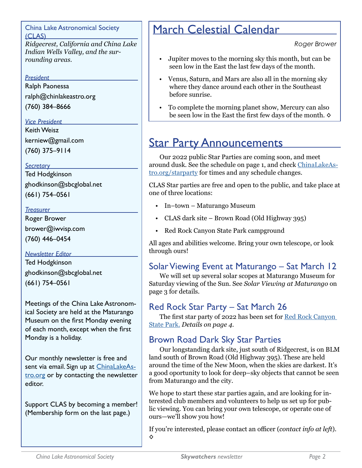China Lake Astronomical Society (CLAS)

*Ridgecrest, California and China Lake Indian Wells Valley, and the surrounding areas.*

#### *President*

Ralph Paonessa

ralph@chinlakeastro.org

(760) 384–8666

#### *Vice President*

Keith Weisz kerniew@gmail.com (760) 375–9114

#### *Secretary*

Ted Hodgkinson ghodkinson@sbcglobal.net (661) 754–0561

#### *Treasurer*

Roger Brower brower@iwvisp.com (760) 446–0454

#### *Newsletter Editor*

Ted Hodgkinson ghodkinson@sbcglobal.net (661) 754–0561

Meetings of the China Lake Astronomical Society are held at the Maturango Museum on the first Monday evening of each month, except when the first Monday is a holiday.

Our monthly newsletter is free and sent via email. Sign up at [ChinaLakeAs](https://www.ChinaLakeAstro.org)[tro.org](https://www.ChinaLakeAstro.org) or by contacting the newsletter editor.

Support CLAS by becoming a member! (Membership form on the last page.)

# March Celestial Calendar

*Roger Brower*

- Jupiter moves to the morning sky this month, but can be seen low in the East the last few days of the month.
- Venus, Saturn, and Mars are also all in the morning sky where they dance around each other in the Southeast before sunrise.
- To complete the morning planet show, Mercury can also be seen low in the East the first few days of the month. **◊**

## **Star Party Announcements**

Our 2022 public Star Parties are coming soon, and meet around dusk. See the schedule on page 1, and check [ChinaLakeAs](https://ChinaLakeAstro.org/starparty)[tro.org/starparty](https://ChinaLakeAstro.org/starparty) for times and any schedule changes.

CLAS Star parties are free and open to the public, and take place at one of three locations:

- In–town Maturango Museum
- CLAS dark site Brown Road (Old Highway 395)
- Red Rock Canyon State Park campground

All ages and abilities welcome. Bring your own telescope, or look through ours!

### Solar Viewing Event at Maturango – Sat March 12

We will set up several solar scopes at Maturango Museum for Saturday viewing of the Sun. See *Solar Viewing at Maturango* on page 3 for details.

### Red Rock Star Party – Sat March 26

The first star party of 2022 has been set for [Red Rock Canyon](https://www.parks.ca.gov/?page_id=631)  [State Park.](https://www.parks.ca.gov/?page_id=631) *Details on page 4.*

### Brown Road Dark Sky Star Parties

Our longstanding dark site, just south of Ridgecrest, is on BLM land south of Brown Road (Old Highway 395). These are held around the time of the New Moon, when the skies are darkest. It's a good oportunity to look for deep–sky objects that cannot be seen from Maturango and the city.

We hope to start these star parties again, and are looking for interested club members and volunteers to help us set up for public viewing. You can bring your own telescope, or operate one of ours—we'll show you how!

If you're interested, please contact an officer (*contact info at left*). **◊**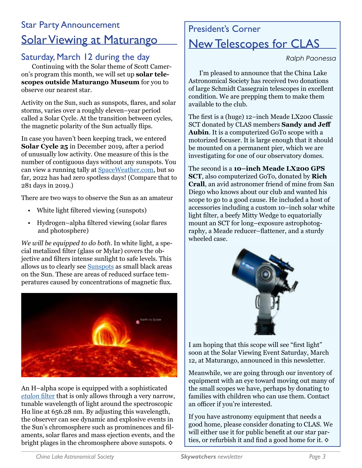## Star Party Announcement Solar Viewing at Maturango

### Saturday, March 12 during the day

Continuing with the Solar theme of Scott Cameron's program this month, we will set up **solar telescopes outside Maturango Museum** for you to observe our nearest star.

Activity on the Sun, such as sunspots, flares, and solar storms, varies over a roughly eleven–year period called a Solar Cycle. At the transition between cycles, the magnetic polarity of the Sun actually flips.

In case you haven't been keeping track, we entered **Solar Cycle 25** in December 2019, after a period of unusually low activity. One measure of this is the number of contiguous days without any sunspots. You can view a running tally at [SpaceWeather.com,](https://www.spaceweather.com/) but so far, 2022 has had zero spotless days! (Compare that to 281 days in 2019.)

There are two ways to observe the Sun as an amateur

- White light filtered viewing (sunspots)
- Hydrogen–alpha filtered viewing (solar flares and photosphere)

*We will be equipped to do both.* In white light, a special metalized filter (glass or Mylar) covers the objective and filters intense sunlight to safe levels. This allows us to clearly see [Sunspots](https://en.wikipedia.org/wiki/Sunspot) as small black areas on the Sun. These are areas of reduced surface temperatures caused by concentrations of magnetic flux.



An H–alpha scope is equipped with a sophisticated *[etalon](https://en.wikipedia.org/wiki/Fabry%E2%80%93P%C3%A9rot_interferometer)* filter that is only allows through a very narrow, tunable wavelength of light around the spectroscopic Hα line at 656.28 nm. By adjusting this wavelength, the observer can see dynamic and explosive events in the Sun's chromosphere such as prominences and filaments, solar flares and mass ejection events, and the bright plages in the chromosphere above sunspots. **◊**

## President's Corner New Telescopes for CLAS

*Ralph Paonessa*

I'm pleased to announce that the China Lake Astronomical Society has received two donations of large Schmidt Cassegrain telescopes in excellent condition. We are prepping them to make them available to the club.

The first is a (huge) 12–inch Meade LX200 Classic SCT donated by CLAS members **Sandy and Jeff Aubin**. It is a computerized GoTo scope with a motorized focuser. It is large enough that it should be mounted on a permanent pier, which we are investigating for one of our observatory domes.

The second is a **10–inch Meade LX200 GPS SCT**, also computerized GoTo, donated by **Rich Crall**, an avid astronomer friend of mine from San Diego who knows about our club and wanted his scope to go to a good cause. He included a host of accessories including a custom 10–inch solar white light filter, a beefy Mitty Wedge to equatorially mount an SCT for long–exposure astrophotography, a Meade reducer–flattener, and a sturdy wheeled case.



I am hoping that this scope will see "first light" soon at the Solar Viewing Event Saturday, March 12, at Maturango, announced in this newsletter.

Meanwhile, we are going through our inventory of equipment with an eye toward moving out many of the small scopes we have, perhaps by donating to families with children who can use them. Contact an officer if you're interested.

If you have astronomy equipment that needs a good home, please consider donating to CLAS. We will either use it for public benefit at our star parties, or refurbish it and find a good home for it. **◊**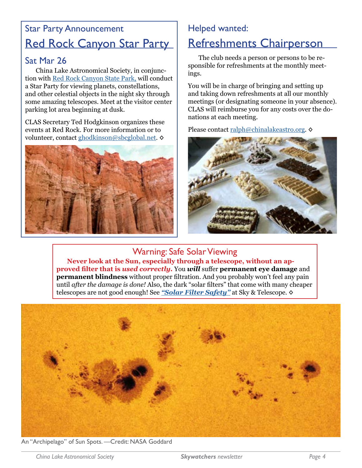## Star Party Announcement Red Rock Canyon Star Party

### Sat Mar 26

China Lake Astronomical Society, in conjunction with [Red Rock Canyon State Park,](https://www.parks.ca.gov/?page_id=631) will conduct a Star Party for viewing planets, constellations, and other celestial objects in the night sky through some amazing telescopes. Meet at the visitor center parking lot area beginning at dusk.

CLAS Secretary Ted Hodgkinson organizes these events at Red Rock. For more information or to volunteer, contact [ghodkinson@sbcglobal.net](mailto:ghodkinson%40sbcglobal.net?subject=). **◊**



### Helped wanted:

## Refreshments Chairperson

The club needs a person or persons to be responsible for refreshments at the monthly meetings.

You will be in charge of bringing and setting up and taking down refreshments at all our monthly meetings (or designating someone in your absence). CLAS will reimburse you for any costs over the donations at each meeting.

Please contact [ralph@chinalakeastro.org](mailto:ralph%40chinalakeastro.org?subject=). **◊**



## Warning: Safe Solar Viewing

**Never look at the Sun, especially through a telescope, without an approved filter that is** *used correctly.* You *will* suffer **permanent eye damage** and **permanent blindness** without proper filtration. And you probably won't feel any pain until *after the damage is done!* Also, the dark "solar filters" that come with many cheaper telescopes are not good enough! See *["Solar Filter Safety"](https://skyandtelescope.org/observing/celestial-objects-to-watch/solar-filter-safety/)* at Sky & Telescope. **◊**



An "Archipelago" of Sun Spots. —Credit: NASA Goddard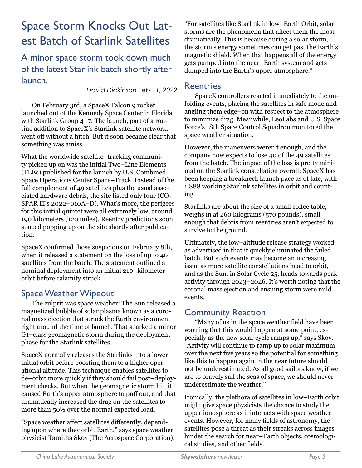# Space Storm Knocks Out Latest Batch of Starlink Satellites

A minor space storm took down much of the latest Starlink batch shortly after launch.

*David Dickinson Feb 11, 2022*

On February 3rd, a SpaceX Falcon 9 rocket launched out of the Kennedy Space Center in Florida with Starlink Group 4–7. The launch, part of a routine addition to SpaceX's Starlink satellite network, went off without a hitch. But it soon became clear that something was amiss.

What the worldwide satellite–tracking community picked up on was the initial Two–Line Elements (TLEs) published for the launch by U.S. Combined Space Operations Center Space–Track. Instead of the full complement of 49 satellites plus the usual associated hardware debris, the site listed only four (CO-SPAR IDs 2022–010A–D). What's more, the perigees for this initial quintet were all extremely low, around 190 kilometers (120 miles). Reentry predictions soon started popping up on the site shortly after publication.

SpaceX confirmed those suspicions on February 8th, when it released a statement on the loss of up to 40 satellites from the batch. The statement outlined a nominal deployment into an initial 210–kilometer orbit before calamity struck.

### Space Weather Wipeout

The culprit was space weather: The Sun released a magnetized bubble of solar plasma known as a coronal mass ejection that struck the Earth environment right around the time of launch. That sparked a minor G1–class geomagnetic storm during the deployment phase for the Starlink satellites.

SpaceX normally releases the Starlinks into a lower initial orbit before boosting them to a higher operational altitude. This technique enables satellites to de–orbit more quickly if they should fail post–deployment checks. But when the geomagnetic storm hit, it caused Earth's upper atmosphere to puff out, and that dramatically increased the drag on the satellites to more than 50% over the normal expected load.

"Space weather affect satellites differently, depending upon where they orbit Earth," says space weather physicist Tamitha Skov (The Aerospace Corporation). "For satellites like Starlink in low–Earth Orbit, solar storms are the phenomena that affect them the most dramatically. This is because during a solar storm, the storm's energy sometimes can get past the Earth's magnetic shield. When that happens all of the energy gets pumped into the near–Earth system and gets dumped into the Earth's upper atmosphere."

#### **Reentries**

SpaceX controllers reacted immediately to the unfolding events, placing the satellites in safe mode and angling them edge–on with respect to the atmosphere to minimize drag. Meanwhile, LeoLabs and U.S. Space Force's 18th Space Control Squadron monitored the space weather situation.

However, the maneuvers weren't enough, and the company now expects to lose 40 of the 49 satellites from the batch. The impact of the loss is pretty minimal on the Starlink constellation overall: SpaceX has been keeping a breakneck launch pace as of late, with 1,888 working Starlink satellites in orbit and counting.

Starlinks are about the size of a small coffee table, weighs in at 260 kilograms (570 pounds), small enough that debris from reentries aren't expected to survive to the ground.

Ultimately, the low–altitude release strategy worked as advertised in that it quickly eliminated the failed batch. But such events may become an increasing issue as more satellite constellations head to orbit, and as the Sun, in Solar Cycle 25, heads towards peak activity through 2023–2026. It's worth noting that the coronal mass ejection and ensuing storm were mild events.

### Community Reaction

"Many of us in the space weather field have been warning that this would happen at some point, especially as the new solar cycle ramps up," says Skov. "Activity will continue to ramp up to solar maximum over the next five years so the potential for something like this to happen again in the near future should not be underestimated. As all good sailors know, if we are to bravely sail the seas of space, we should never underestimate the weather."

Ironically, the plethora of satellites in low–Earth orbit might give space physicists the chance to study the upper ionosphere as it interacts with space weather events. However, for many fields of astronomy, the satellites pose a threat as their streaks across images hinder the search for near–Earth objects, cosmological studies, and other fields.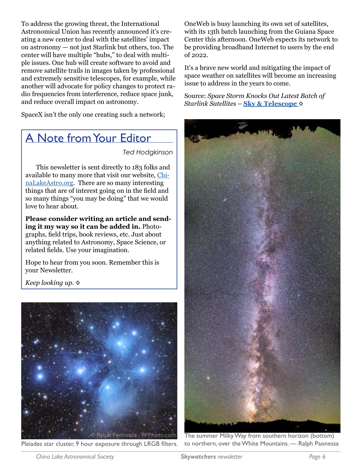To address the growing threat, the International Astronomical Union has recently announced it's creating a new center to deal with the satellites' impact on astronomy — not just Starlink but others, too. The center will have multiple "hubs," to deal with multiple issues. One hub will create software to avoid and remove satellite trails in images taken by professional and extremely sensitive telescopes, for example, while another will advocate for policy changes to protect radio frequencies from interference, reduce space junk, and reduce overall impact on astronomy.

SpaceX isn't the only one creating such a network;

### A Note from Your Editor

*Ted Hodgkinson*

This newsletter is sent directly to 183 folks and available to many more that visit our website, [Chi](https://ChinaLakeAstro.org)[naLakeAstro.org.](https://ChinaLakeAstro.org) There are so many interesting things that are of interest going on in the field and so many things "you may be doing" that we would love to hear about.

**Please consider writing an article and sending it my way so it can be added in.** Photographs, field trips, book reviews, etc. Just about anything related to Astronomy, Space Science, or related fields. Use your imagination.

Hope to hear from you soon. Remember this is your Newsletter.

*Keep looking up.* **◊**



Pleiades star cluster, 9 hour exposure through LRGB filters. to northern, over the White Mountains. — Ralph Paonessa

OneWeb is busy launching its own set of satellites, with its 13th batch launching from the Guiana Space Center this afternoon. OneWeb expects its network to be providing broadband Internet to users by the end of 2022.

It's a brave new world and mitigating the impact of space weather on satellites will become an increasing issue to address in the years to come.

Source: *Space Storm Knocks Out Latest Batch of Starlink Satellites* – **[Sky & Telescope](https://skyandtelescope.org/astronomy-news/space-storm-knocks-out-latest-batch-of-starlink-satellites/) ◊**



The summer Milky Way from southern horizon (bottom)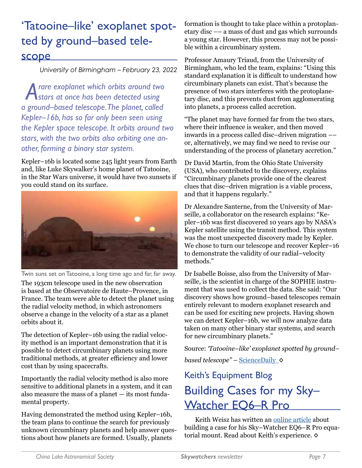# 'Tatooine–like' exoplanet spotted by ground–based telescope

 *University of Birmingham – February 23, 2022*

*A rare exoplanet which orbits around two stars at once has been detected using a ground–based telescope. The planet, called Kepler–16b, has so far only been seen using the Kepler space telescope. It orbits around two stars, with the two orbits also orbiting one another, forming a binary star system.*

Kepler–16b is located some 245 light years from Earth and, like Luke Skywalker's home planet of Tatooine, in the Star Wars universe, it would have two sunsets if you could stand on its surface.



Twin suns set on Tatooine, a long time ago and far, far away.

The 193cm telescope used in the new observation is based at the Observatoire de Haute–Provence, in France. The team were able to detect the planet using the radial velocity method, in which astronomers observe a change in the velocity of a star as a planet orbits about it.

The detection of Kepler–16b using the radial velocity method is an important demonstration that it is possible to detect circumbinary planets using more traditional methods, at greater efficiency and lower cost than by using spacecrafts.

Importantly the radial velocity method is also more sensitive to additional planets in a system, and it can also measure the mass of a planet — its most fundamental property.

Having demonstrated the method using Kepler–16b, the team plans to continue the search for previously unknown circumbinary planets and help answer questions about how planets are formed. Usually, planets

formation is thought to take place within a protoplanetary disc –– a mass of dust and gas which surrounds a young star. However, this process may not be possible within a circumbinary system.

Professor Amaury Triaud, from the University of Birmingham, who led the team, explains: "Using this standard explanation it is difficult to understand how circumbinary planets can exist. That's because the presence of two stars interferes with the protoplanetary disc, and this prevents dust from agglomerating into planets, a process called accretion.

"The planet may have formed far from the two stars, where their influence is weaker, and then moved inwards in a process called disc–driven migration –– or, alternatively, we may find we need to revise our understanding of the process of planetary accretion."

Dr David Martin, from the Ohio State University (USA), who contributed to the discovery, explains "Circumbinary planets provide one of the clearest clues that disc–driven migration is a viable process, and that it happens regularly."

Dr Alexandre Santerne, from the University of Marseille, a collaborator on the research explains: "Kepler–16b was first discovered 10 years ago by NASA's Kepler satellite using the transit method. This system was the most unexpected discovery made by Kepler. We chose to turn our telescope and recover Kepler–16 to demonstrate the validity of our radial–velocity methods."

Dr Isabelle Boisse, also from the University of Marseille, is the scientist in charge of the SOPHIE instrument that was used to collect the data. She said: "Our discovery shows how ground–based telescopes remain entirely relevant to modern exoplanet research and can be used for exciting new projects. Having shown we can detect Kepler–16b, we will now analyze data taken on many other binary star systems, and search for new circumbinary planets."

Source: *'Tatooine–like' exoplanet spotted by ground– based telescope"* – [ScienceDaily](https://www.sciencedaily.com/releases/2022/02/220223085820.htm) **◊**

# Keith's Equipment Blog Building Cases for my Sky– Watcher **EO6-R** Pro

Keith Weisz has written an [online article](https://w3isz.blogspot.com/2014/02/test.html) about building a case for his Sky–Watcher EQ6–R Pro equatorial mount. Read about Keith's experience. **◊**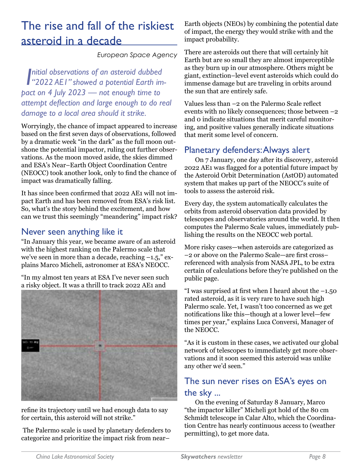## The rise and fall of the riskiest asteroid in a decade

*European Space Agency*

**I**nitial observations of an asteroid dubbed<br>"2022 AEI" showed a potential Earth im*nitial observations of an asteroid dubbed pact on 4 July 2023 — not enough time to attempt deflection and large enough to do real damage to a local area should it strike.*

Worryingly, the chance of impact appeared to increase based on the first seven days of observations, followed by a dramatic week "in the dark" as the full moon outshone the potential impactor, ruling out further observations. As the moon moved aside, the skies dimmed and ESA's Near–Earth Object Coordination Centre (NEOCC) took another look, only to find the chance of impact was dramatically falling.

It has since been confirmed that 2022 AE1 will not impact Earth and has been removed from ESA's risk list. So, what's the story behind the excitement, and how can we trust this seemingly "meandering" impact risk?

#### Never seen anything like it

"In January this year, we became aware of an asteroid with the highest ranking on the Palermo scale that we've seen in more than a decade, reaching  $-1.5$ ," explains Marco Micheli, astronomer at ESA's NEOCC.

"In my almost ten years at ESA I've never seen such a risky object. It was a thrill to track 2022 AE1 and



refine its trajectory until we had enough data to say for certain, this asteroid will not strike."

 The Palermo scale is used by planetary defenders to categorize and prioritize the impact risk from near–

Earth objects (NEOs) by combining the potential date of impact, the energy they would strike with and the impact probability.

There are asteroids out there that will certainly hit Earth but are so small they are almost imperceptible as they burn up in our atmosphere. Others might be giant, extinction–level event asteroids which could do immense damage but are traveling in orbits around the sun that are entirely safe.

Values less than –2 on the Palermo Scale reflect events with no likely consequences; those between –2 and 0 indicate situations that merit careful monitoring, and positive values generally indicate situations that merit some level of concern.

### Planetary defenders: Always alert

On 7 January, one day after its discovery, asteroid 2022 AE1 was flagged for a potential future impact by the Asteroid Orbit Determination (AstOD) automated system that makes up part of the NEOCC's suite of tools to assess the asteroid risk.

Every day, the system automatically calculates the orbits from asteroid observation data provided by telescopes and observatories around the world. It then computes the Palermo Scale values, immediately publishing the results on the NEOCC web portal.

More risky cases—when asteroids are categorized as –2 or above on the Palermo Scale—are first cross– referenced with analysis from NASA JPL, to be extra certain of calculations before they're published on the public page.

"I was surprised at first when I heard about the  $-1.50$ rated asteroid, as it is very rare to have such high Palermo scale. Yet, I wasn't too concerned as we get notifications like this—though at a lower level—few times per year," explains Luca Conversi, Manager of the NEOCC.

"As it is custom in these cases, we activated our global network of telescopes to immediately get more observations and it soon seemed this asteroid was unlike any other we'd seen."

### The sun never rises on ESA's eyes on the sky ...

On the evening of Saturday 8 January, Marco "the impactor killer" Micheli got hold of the 80 cm Schmidt telescope in Calar Alto, which the Coordination Centre has nearly continuous access to (weather permitting), to get more data.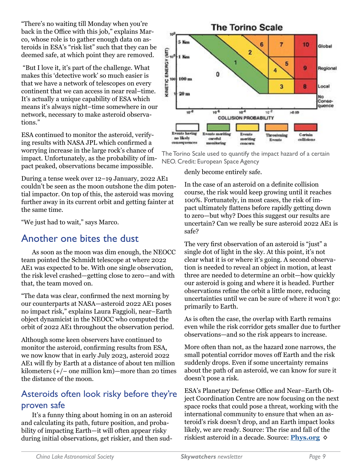"There's no waiting till Monday when you're back in the Office with this job," explains Marco, whose role is to gather enough data on asteroids in ESA's "risk list" such that they can be deemed safe, at which point they are removed.

 "But I love it, it's part of the challenge. What makes this 'detective work' so much easier is that we have a network of telescopes on every continent that we can access in near real–time. It's actually a unique capability of ESA which means it's always night–time somewhere in our network, necessary to make asteroid observations."

ESA continued to monitor the asteroid, verifying results with NASA JPL which confirmed a worrying increase in the large rock's chance of impact. Unfortunately, as the probability of impact peaked, observations became impossible.

During a tense week over 12–19 January, 2022 AE1 couldn't be seen as the moon outshone the dim potential impactor. On top of this, the asteroid was moving further away in its current orbit and getting fainter at the same time.

"We just had to wait," says Marco.

### Another one bites the dust

As soon as the moon was dim enough, the NEOCC team pointed the Schmidt telescope at where 2022 AE1 was expected to be. With one single observation, the risk level crashed—getting close to zero—and with that, the team moved on.

"The data was clear, confirmed the next morning by our counterparts at NASA—asteroid 2022 AE1 poses no impact risk," explains Laura Faggioli, near–Earth object dynamicist in the NEOCC who computed the orbit of 2022 AE1 throughout the observation period.

Although some keen observers have continued to monitor the asteroid, confirming results from ESA, we now know that in early July 2023, asteroid 2022 AE1 will fly by Earth at a distance of about ten million kilometers  $(+/-$  one million km $)-$ more than 20 times the distance of the moon.

### Asteroids often look risky before they're proven safe

It's a funny thing about homing in on an asteroid and calculating its path, future position, and probability of impacting Earth—it will often appear risky during initial observations, get riskier, and then sud-



The Torino Scale used to quantify the impact hazard of a certain NEO. Credit: European Space Agency

denly become entirely safe.

In the case of an asteroid on a definite collision course, the risk would keep growing until it reaches 100%. Fortunately, in most cases, the risk of impact ultimately flattens before rapidly getting down to zero—but why? Does this suggest our results are uncertain? Can we really be sure asteroid 2022 AE1 is safe?

The very first observation of an asteroid is "just" a single dot of light in the sky. At this point, it's not clear what it is or where it's going. A second observation is needed to reveal an object in motion, at least three are needed to determine an orbit—how quickly our asteroid is going and where it is headed. Further observations refine the orbit a little more, reducing uncertainties until we can be sure of where it won't go: primarily to Earth.

As is often the case, the overlap with Earth remains even while the risk corridor gets smaller due to further observations—and so the risk appears to increase.

More often than not, as the hazard zone narrows, the small potential corridor moves off Earth and the risk suddenly drops. Even if some uncertainty remains about the path of an asteroid, we can know for sure it doesn't pose a risk.

ESA's Planetary Defense Office and Near–Earth Object Coordination Centre are now focusing on the next space rocks that could pose a threat, working with the international community to ensure that when an asteroid's risk doesn't drop, and an Earth impact looks likely, we are ready. Source: The rise and fall of the riskiest asteroid in a decade. Source: **[Phys.org](https://phys.org/news/2022-02-fall-riskiest-asteroid-decade.html) ◊**